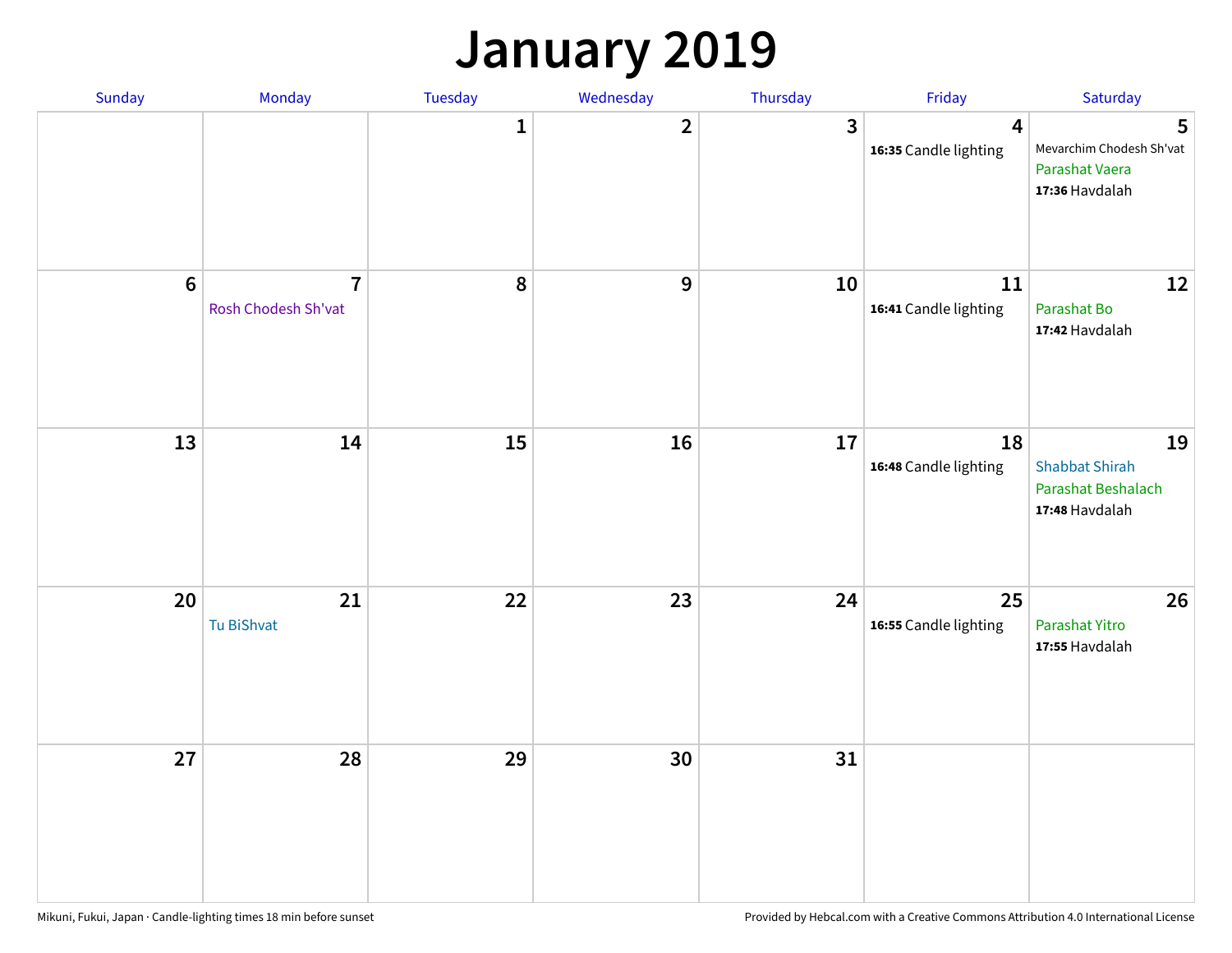### **January 2019**

| Sunday           | Monday                                | <b>Tuesday</b> | Wednesday      | Thursday     | Friday                      | Saturday                                                            |
|------------------|---------------------------------------|----------------|----------------|--------------|-----------------------------|---------------------------------------------------------------------|
|                  |                                       | $\mathbf{1}$   | $\overline{2}$ | $\mathbf{3}$ | 4<br>16:35 Candle lighting  | 5<br>Mevarchim Chodesh Sh'vat<br>Parashat Vaera<br>17:36 Havdalah   |
| $\boldsymbol{6}$ | $\overline{7}$<br>Rosh Chodesh Sh'vat | 8              | 9              | 10           | 11<br>16:41 Candle lighting | 12<br>Parashat Bo<br>17:42 Havdalah                                 |
| 13               | 14                                    | 15             | 16             | 17           | 18<br>16:48 Candle lighting | 19<br><b>Shabbat Shirah</b><br>Parashat Beshalach<br>17:48 Havdalah |
| 20               | 21<br>Tu BiShvat                      | 22             | 23             | 24           | 25<br>16:55 Candle lighting | 26<br>Parashat Yitro<br>17:55 Havdalah                              |
| 27               | 28                                    | 29             | 30             | 31           |                             |                                                                     |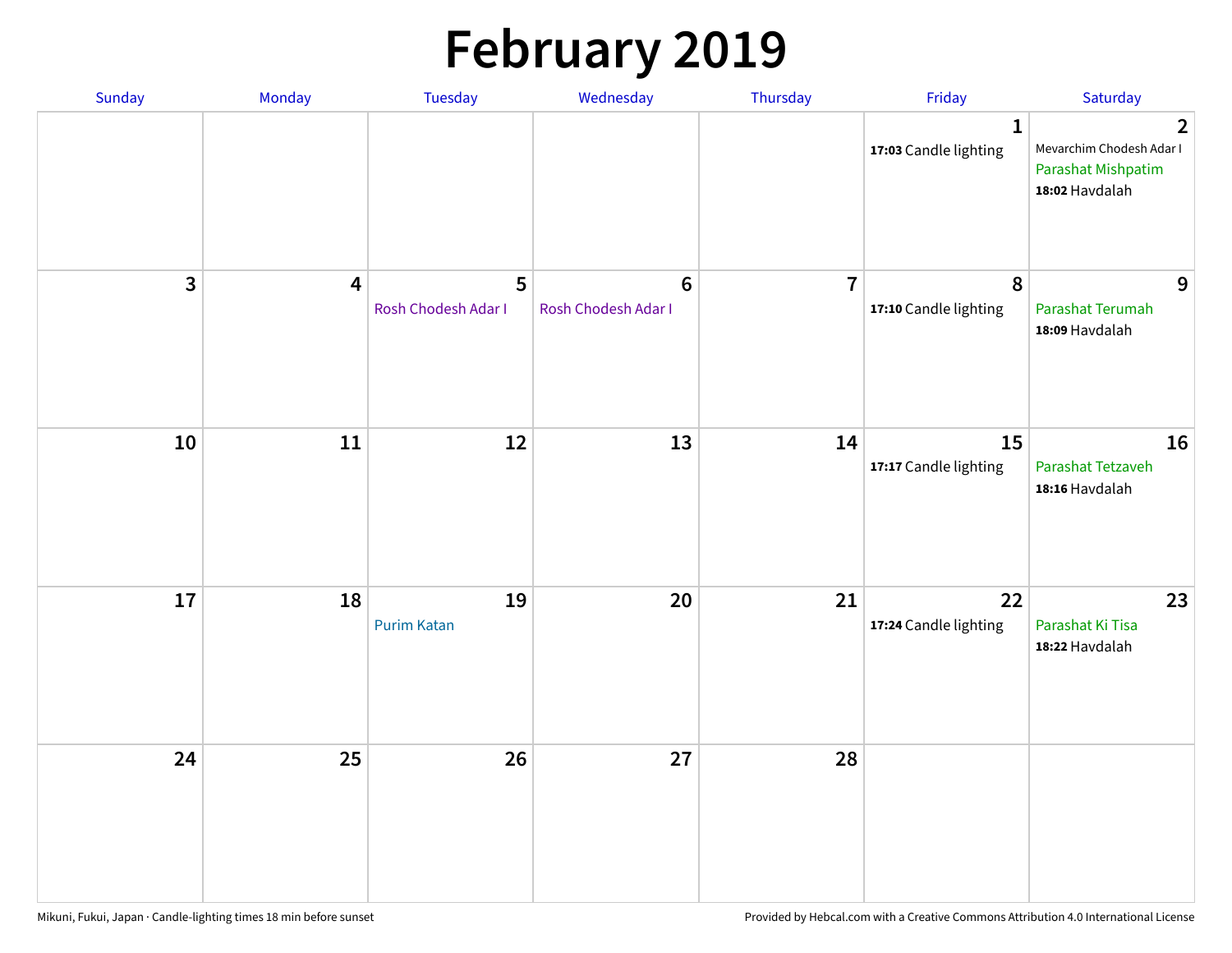# **February 2019**

| Sunday | Monday                  | Tuesday                  | Wednesday                             | Thursday       | Friday                                | Saturday                                                                                  |
|--------|-------------------------|--------------------------|---------------------------------------|----------------|---------------------------------------|-------------------------------------------------------------------------------------------|
|        |                         |                          |                                       |                | $\mathbf{1}$<br>17:03 Candle lighting | $\overline{2}$<br>Mevarchim Chodesh Adar I<br><b>Parashat Mishpatim</b><br>18:02 Havdalah |
| 3      | $\overline{\mathbf{4}}$ | 5<br>Rosh Chodesh Adar I | $6\phantom{1}$<br>Rosh Chodesh Adar I | $\overline{7}$ | $\pmb{8}$<br>17:10 Candle lighting    | 9<br>Parashat Terumah<br>18:09 Havdalah                                                   |
| 10     | ${\bf 11}$              | 12                       | 13                                    | 14             | 15<br>17:17 Candle lighting           | 16<br>Parashat Tetzaveh<br>18:16 Havdalah                                                 |
| 17     | 18                      | 19<br><b>Purim Katan</b> | $20\,$                                | 21             | 22<br>17:24 Candle lighting           | 23<br>Parashat Ki Tisa<br>18:22 Havdalah                                                  |
| 24     | 25                      | 26                       | 27                                    | 28             |                                       |                                                                                           |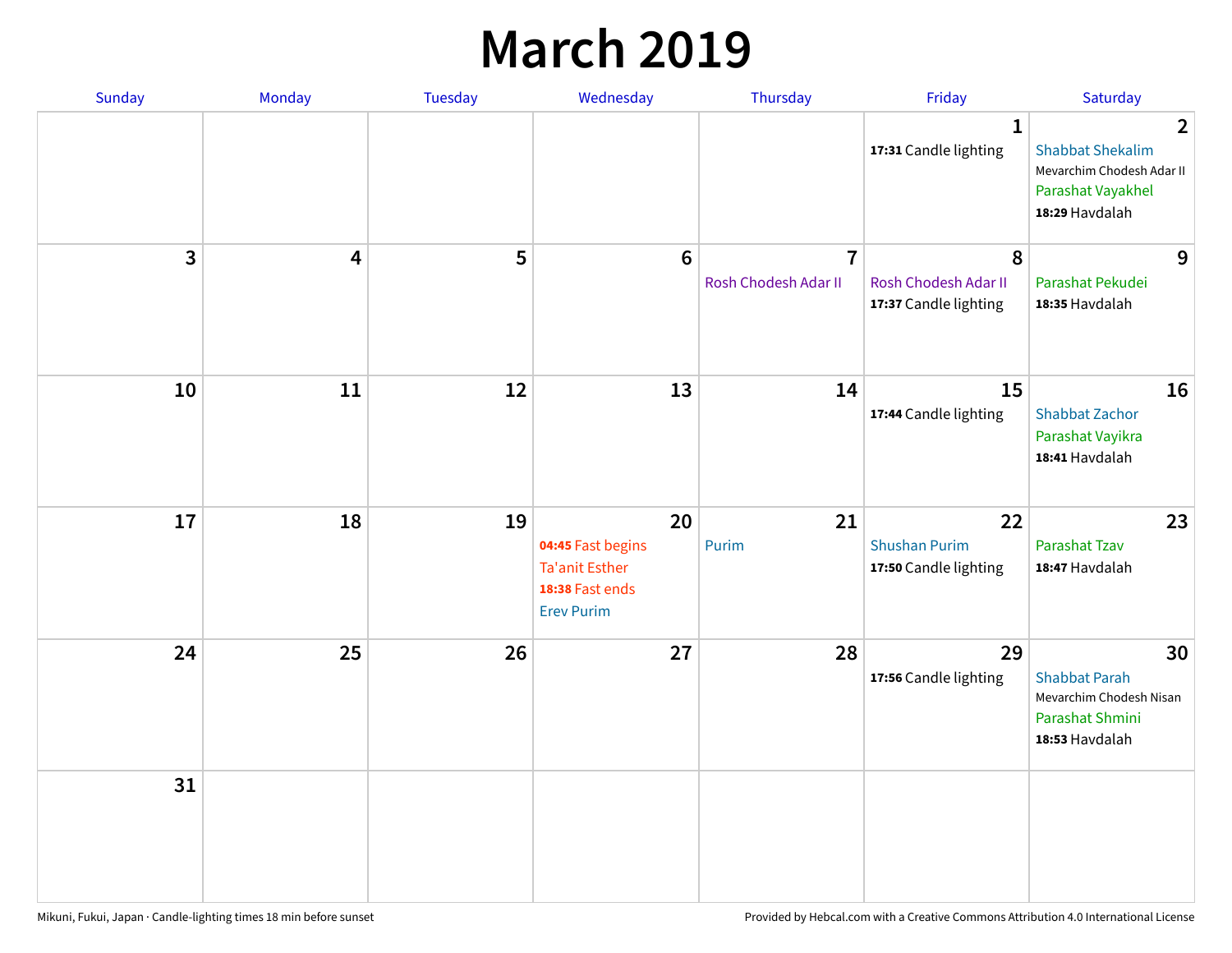### **March 2019**

| Sunday         | Monday | Tuesday | Wednesday                                                                                | Thursday                               | Friday                                              | Saturday                                                                                                      |
|----------------|--------|---------|------------------------------------------------------------------------------------------|----------------------------------------|-----------------------------------------------------|---------------------------------------------------------------------------------------------------------------|
|                |        |         |                                                                                          |                                        | $\mathbf{1}$<br>17:31 Candle lighting               | $\overline{2}$<br><b>Shabbat Shekalim</b><br>Mevarchim Chodesh Adar II<br>Parashat Vayakhel<br>18:29 Havdalah |
| $\overline{3}$ | 4      | 5       | $6\phantom{a}$                                                                           | $\overline{7}$<br>Rosh Chodesh Adar II | 8<br>Rosh Chodesh Adar II<br>17:37 Candle lighting  | 9<br>Parashat Pekudei<br>18:35 Havdalah                                                                       |
| 10             | 11     | 12      | 13                                                                                       | 14                                     | 15<br>17:44 Candle lighting                         | 16<br><b>Shabbat Zachor</b><br>Parashat Vayikra<br>18:41 Havdalah                                             |
| 17             | 18     | 19      | 20<br>04:45 Fast begins<br><b>Ta'anit Esther</b><br>18:38 Fast ends<br><b>Erev Purim</b> | 21<br>Purim                            | 22<br><b>Shushan Purim</b><br>17:50 Candle lighting | 23<br><b>Parashat Tzav</b><br>18:47 Havdalah                                                                  |
| 24             | 25     | 26      | 27                                                                                       | 28                                     | 29<br>17:56 Candle lighting                         | 30<br><b>Shabbat Parah</b><br>Mevarchim Chodesh Nisan<br>Parashat Shmini<br>18:53 Havdalah                    |
| 31             |        |         |                                                                                          |                                        |                                                     |                                                                                                               |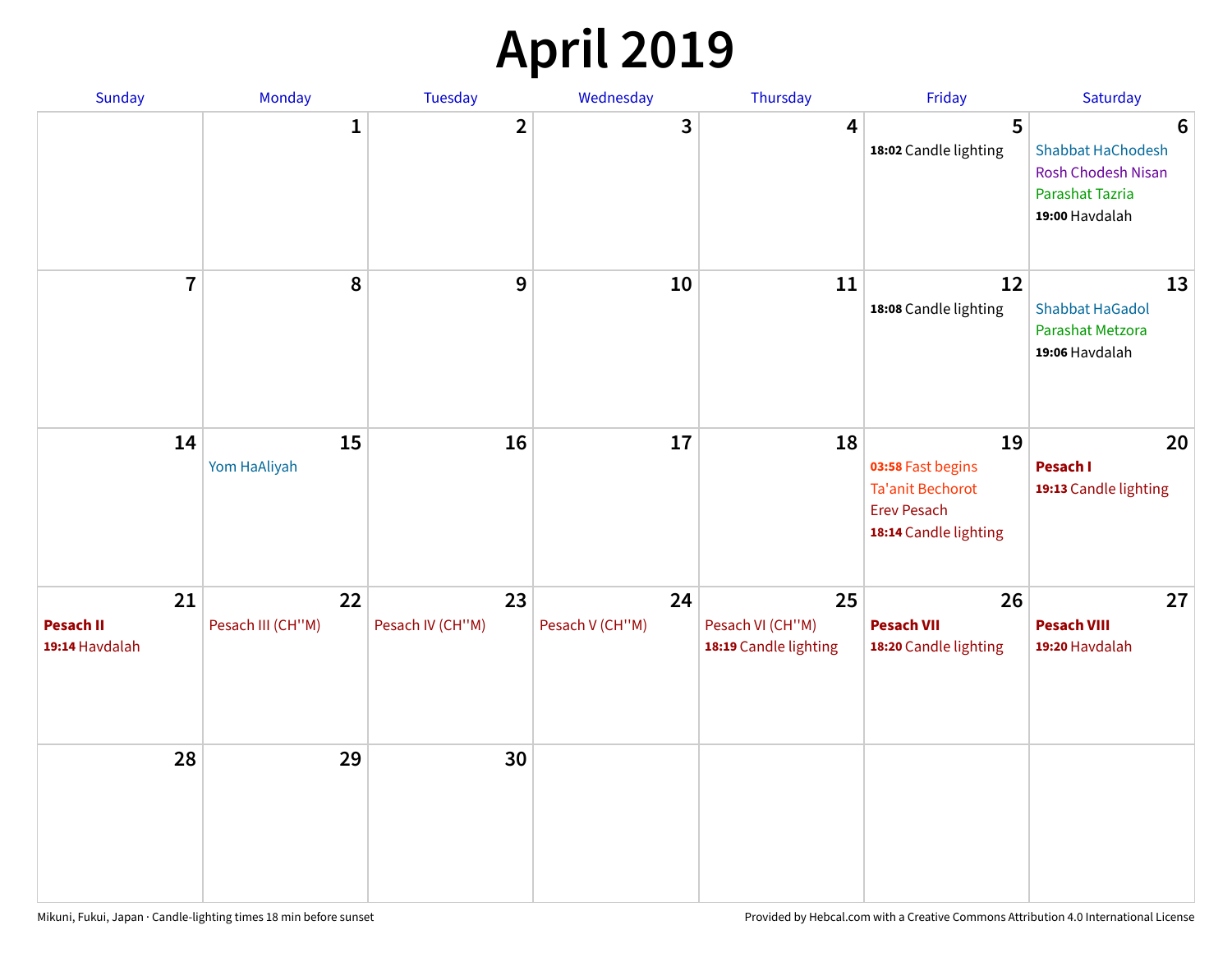## **April 2019**

| Sunday                                   | Monday                  | Tuesday                | Wednesday             | Thursday                                        | Friday                                                                                            | Saturday                                                                                 |
|------------------------------------------|-------------------------|------------------------|-----------------------|-------------------------------------------------|---------------------------------------------------------------------------------------------------|------------------------------------------------------------------------------------------|
|                                          | $\mathbf{1}$            | $\overline{2}$         | 3                     | 4                                               | 5<br>18:02 Candle lighting                                                                        | 6<br>Shabbat HaChodesh<br><b>Rosh Chodesh Nisan</b><br>Parashat Tazria<br>19:00 Havdalah |
| $\overline{7}$                           | 8                       | $\boldsymbol{9}$       | 10                    | 11                                              | 12<br>18:08 Candle lighting                                                                       | 13<br><b>Shabbat HaGadol</b><br>Parashat Metzora<br>19:06 Havdalah                       |
| 14                                       | 15<br>Yom HaAliyah      | 16                     | 17                    | 18                                              | 19<br>03:58 Fast begins<br><b>Ta'anit Bechorot</b><br><b>Erev Pesach</b><br>18:14 Candle lighting | 20<br>Pesach I<br>19:13 Candle lighting                                                  |
| 21<br><b>Pesach II</b><br>19:14 Havdalah | 22<br>Pesach III (CH"M) | 23<br>Pesach IV (CH"M) | 24<br>Pesach V (CH"M) | 25<br>Pesach VI (CH"M)<br>18:19 Candle lighting | 26<br><b>Pesach VII</b><br>18:20 Candle lighting                                                  | 27<br><b>Pesach VIII</b><br>19:20 Havdalah                                               |
| 28                                       | 29                      | 30                     |                       |                                                 |                                                                                                   |                                                                                          |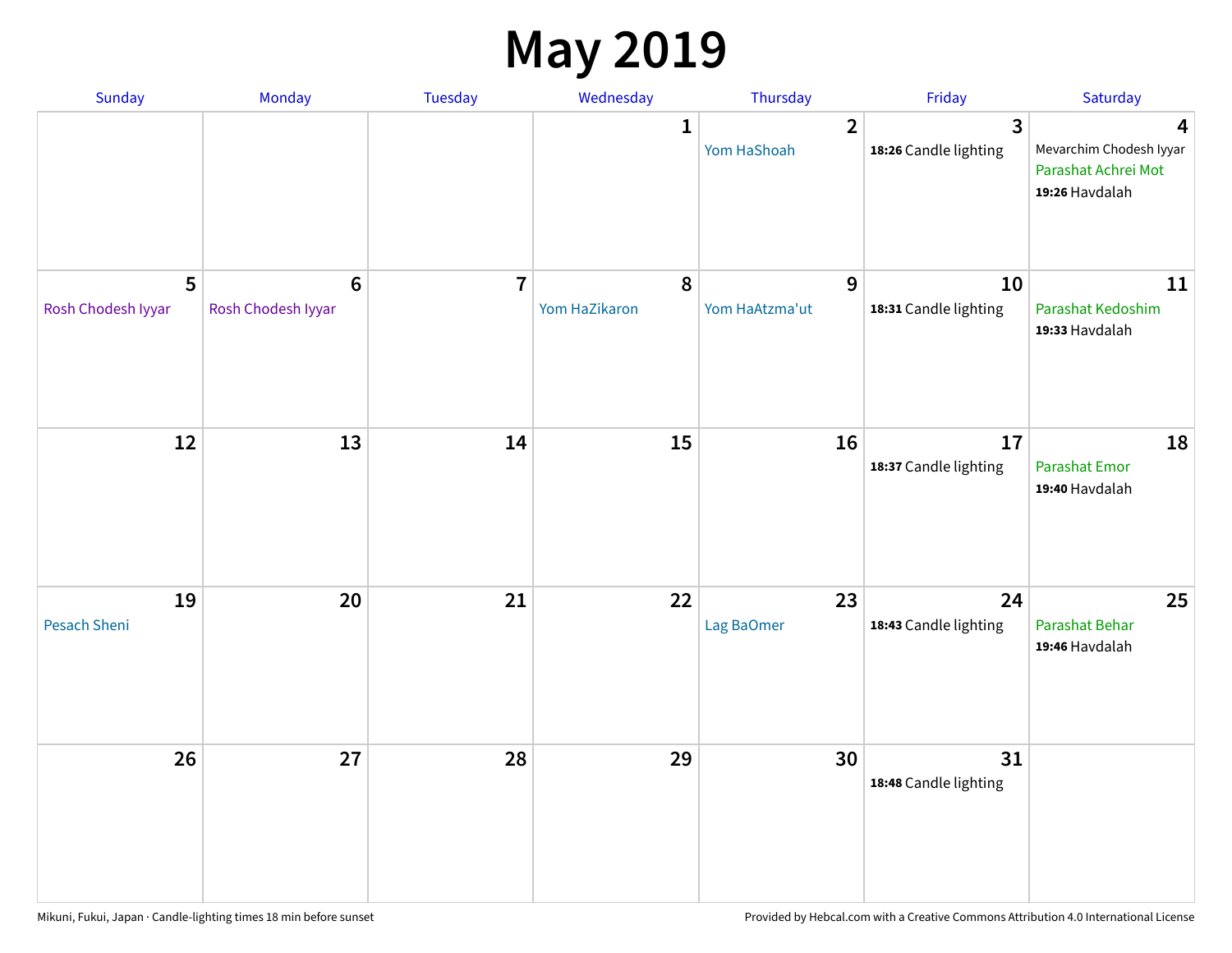### **May 2019**

| Sunday                    | Monday                                 | Tuesday        | Wednesday                  | Thursday                      | Friday                                           | Saturday                                                              |
|---------------------------|----------------------------------------|----------------|----------------------------|-------------------------------|--------------------------------------------------|-----------------------------------------------------------------------|
|                           |                                        |                | 1                          | $\overline{2}$<br>Yom HaShoah | $\overline{\mathbf{3}}$<br>18:26 Candle lighting | 4<br>Mevarchim Chodesh Iyyar<br>Parashat Achrei Mot<br>19:26 Havdalah |
| 5<br>Rosh Chodesh Iyyar   | $\boldsymbol{6}$<br>Rosh Chodesh Iyyar | $\overline{7}$ | $\pmb{8}$<br>Yom HaZikaron | 9<br>Yom HaAtzma'ut           | 10<br>18:31 Candle lighting                      | 11<br>Parashat Kedoshim<br>19:33 Havdalah                             |
| 12                        | 13                                     | 14             | 15                         | 16                            | 17<br>18:37 Candle lighting                      | 18<br>Parashat Emor<br>19:40 Havdalah                                 |
| 19<br><b>Pesach Sheni</b> | 20                                     | 21             | 22                         | 23<br>Lag BaOmer              | 24<br>18:43 Candle lighting                      | 25<br>Parashat Behar<br>19:46 Havdalah                                |
| 26                        | 27                                     | 28             | 29                         | 30                            | 31<br>18:48 Candle lighting                      |                                                                       |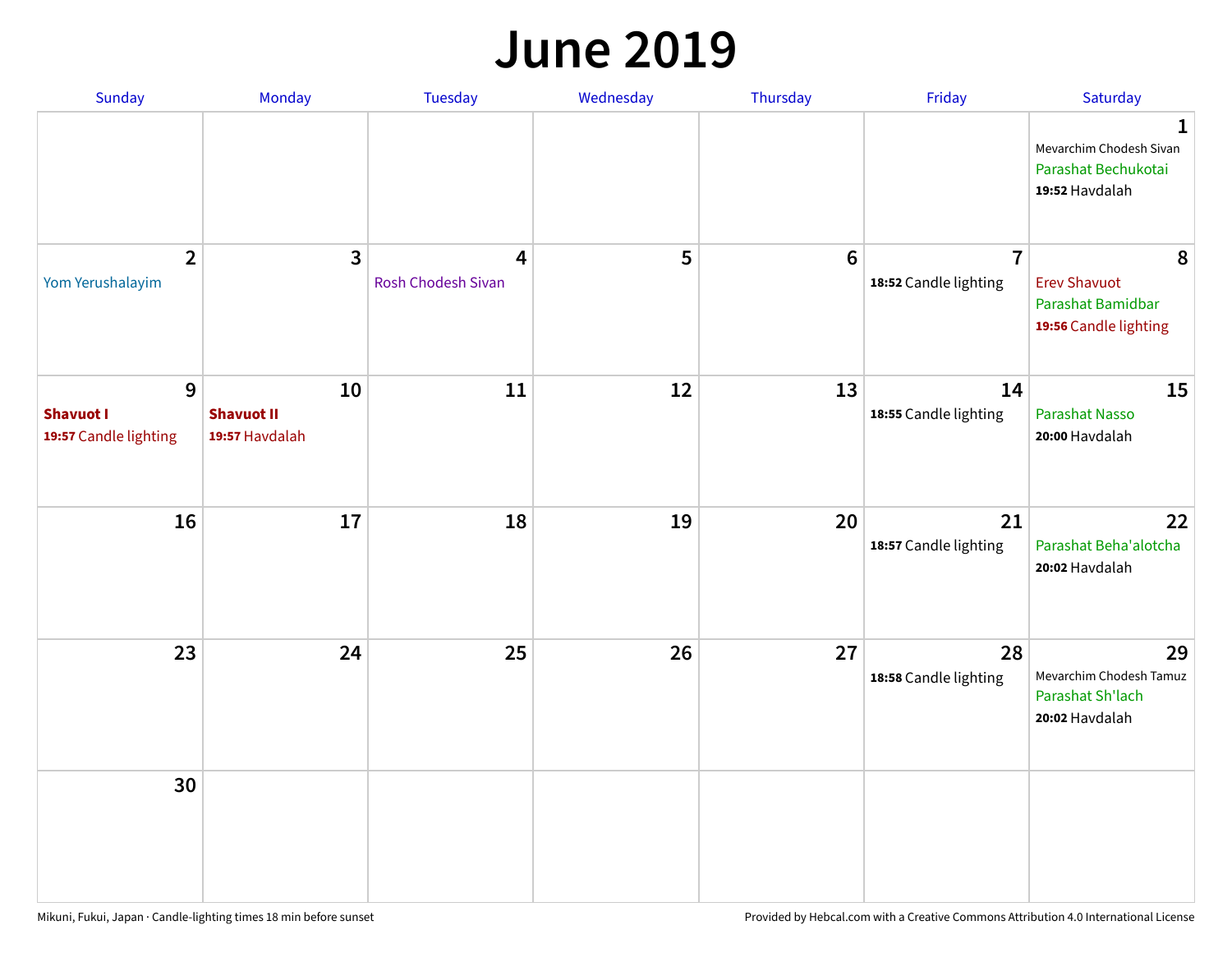#### **June 2019**

| Sunday                                         | Monday                                    | Tuesday                 | Wednesday | Thursday        | Friday                                  | Saturday                                                               |
|------------------------------------------------|-------------------------------------------|-------------------------|-----------|-----------------|-----------------------------------------|------------------------------------------------------------------------|
|                                                |                                           |                         |           |                 |                                         | 1<br>Mevarchim Chodesh Sivan<br>Parashat Bechukotai<br>19:52 Havdalah  |
| $\overline{2}$<br>Yom Yerushalayim             | $\mathbf{3}$                              | 4<br>Rosh Chodesh Sivan | 5         | $6\phantom{1}6$ | $\overline{7}$<br>18:52 Candle lighting | 8<br><b>Erev Shavuot</b><br>Parashat Bamidbar<br>19:56 Candle lighting |
| 9<br><b>Shavuot I</b><br>19:57 Candle lighting | 10<br><b>Shavuot II</b><br>19:57 Havdalah | 11                      | 12        | 13              | 14<br>18:55 Candle lighting             | 15<br><b>Parashat Nasso</b><br>20:00 Havdalah                          |
| 16                                             | 17                                        | 18                      | 19        | 20              | 21<br>18:57 Candle lighting             | 22<br>Parashat Beha'alotcha<br>20:02 Havdalah                          |
| 23                                             | 24                                        | 25                      | 26        | 27              | 28<br>18:58 Candle lighting             | 29<br>Mevarchim Chodesh Tamuz<br>Parashat Sh'lach<br>20:02 Havdalah    |
| 30                                             |                                           |                         |           |                 |                                         |                                                                        |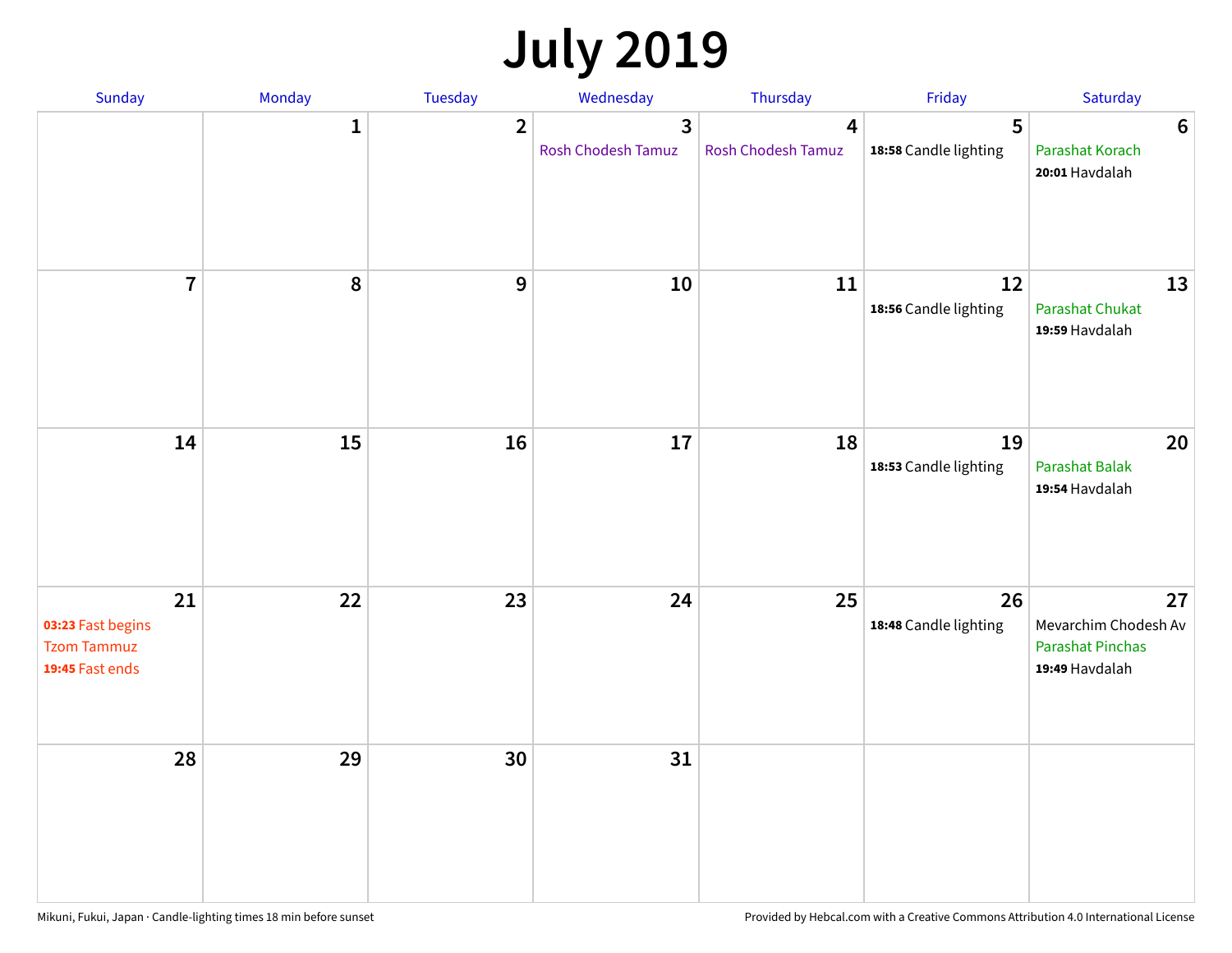# **July 2019**

| Sunday                                                           | Monday       | Tuesday        | Wednesday                                   | Thursday                | Friday                      | Saturday                                                                |
|------------------------------------------------------------------|--------------|----------------|---------------------------------------------|-------------------------|-----------------------------|-------------------------------------------------------------------------|
|                                                                  | $\mathbf{1}$ | $\overline{2}$ | $\overline{3}$<br><b>Rosh Chodesh Tamuz</b> | 4<br>Rosh Chodesh Tamuz | 5<br>18:58 Candle lighting  | $6\phantom{1}6$<br>Parashat Korach<br>20:01 Havdalah                    |
| $\overline{7}$                                                   | 8            | $\overline{9}$ | 10                                          | 11                      | 12<br>18:56 Candle lighting | 13<br><b>Parashat Chukat</b><br>19:59 Havdalah                          |
| 14                                                               | 15           | 16             | 17                                          | 18                      | 19<br>18:53 Candle lighting | 20<br><b>Parashat Balak</b><br>19:54 Havdalah                           |
| 21<br>03:23 Fast begins<br><b>Tzom Tammuz</b><br>19:45 Fast ends | 22           | 23             | 24                                          | 25                      | 26<br>18:48 Candle lighting | 27<br>Mevarchim Chodesh Av<br><b>Parashat Pinchas</b><br>19:49 Havdalah |
| 28                                                               | 29           | 30             | 31                                          |                         |                             |                                                                         |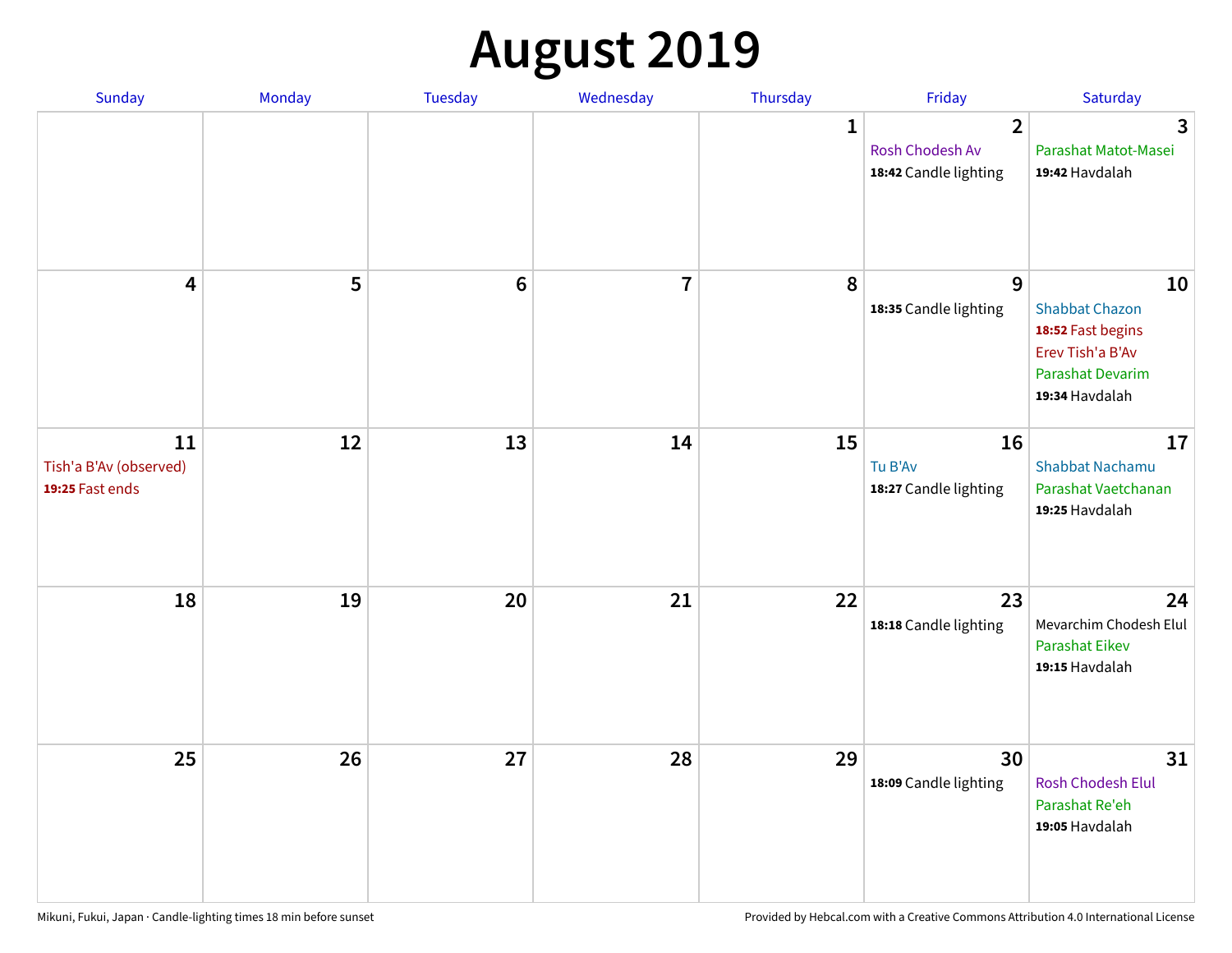# **August 2019**

| Sunday                                          | Monday | Tuesday         | Wednesday               | Thursday     | Friday                                                     | Saturday                                                                                                          |
|-------------------------------------------------|--------|-----------------|-------------------------|--------------|------------------------------------------------------------|-------------------------------------------------------------------------------------------------------------------|
|                                                 |        |                 |                         | $\mathbf{1}$ | $\overline{2}$<br>Rosh Chodesh Av<br>18:42 Candle lighting | $\overline{3}$<br>Parashat Matot-Masei<br>19:42 Havdalah                                                          |
| $\overline{\mathbf{4}}$                         | 5      | $6\phantom{1}6$ | $\overline{\mathbf{I}}$ | 8            | 9<br>18:35 Candle lighting                                 | 10<br><b>Shabbat Chazon</b><br>18:52 Fast begins<br>Erev Tish'a B'Av<br><b>Parashat Devarim</b><br>19:34 Havdalah |
| 11<br>Tish'a B'Av (observed)<br>19:25 Fast ends | 12     | 13              | 14                      | 15           | 16<br>Tu B'Av<br>18:27 Candle lighting                     | 17<br><b>Shabbat Nachamu</b><br>Parashat Vaetchanan<br>19:25 Havdalah                                             |
| 18                                              | 19     | 20              | 21                      | 22           | 23<br>18:18 Candle lighting                                | 24<br>Mevarchim Chodesh Elul<br><b>Parashat Eikev</b><br>19:15 Havdalah                                           |
| 25                                              | 26     | 27              | 28                      | 29           | 30<br>18:09 Candle lighting                                | 31<br>Rosh Chodesh Elul<br>Parashat Re'eh<br>19:05 Havdalah                                                       |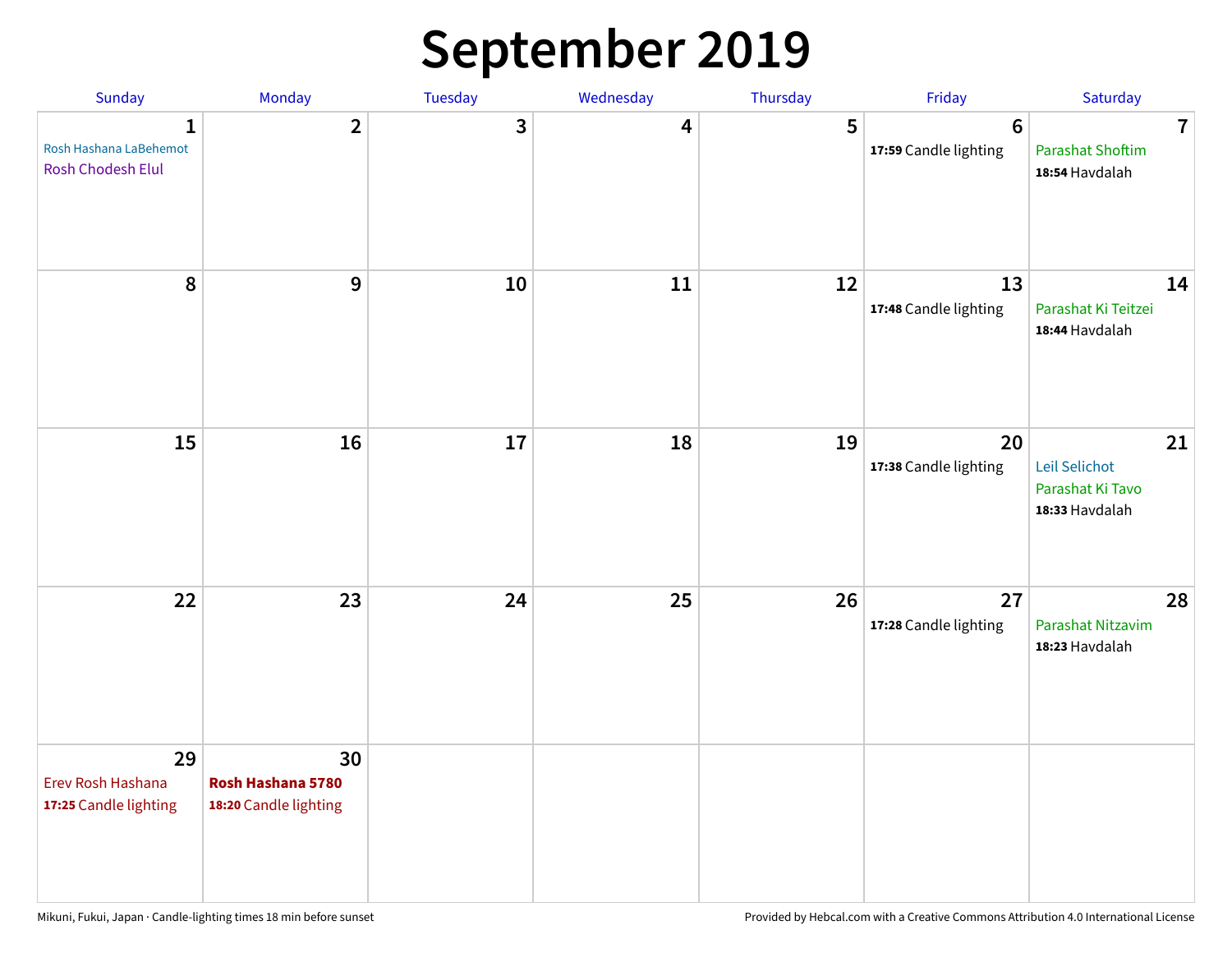## **September 2019**

| Sunday                                           | Monday                                           | Tuesday | Wednesday | Thursday | Friday                           | Saturday                                                    |
|--------------------------------------------------|--------------------------------------------------|---------|-----------|----------|----------------------------------|-------------------------------------------------------------|
| 1<br>Rosh Hashana LaBehemot<br>Rosh Chodesh Elul | $\overline{2}$                                   | 3       | 4         | 5        | $\bf 6$<br>17:59 Candle lighting | $\overline{7}$<br><b>Parashat Shoftim</b><br>18:54 Havdalah |
| 8                                                | 9                                                | 10      | 11        | 12       | 13<br>17:48 Candle lighting      | 14<br>Parashat Ki Teitzei<br>18:44 Havdalah                 |
| 15                                               | 16                                               | 17      | 18        | 19       | 20<br>17:38 Candle lighting      | 21<br>Leil Selichot<br>Parashat Ki Tavo<br>18:33 Havdalah   |
| 22                                               | 23                                               | 24      | 25        | 26       | 27<br>17:28 Candle lighting      | 28<br>Parashat Nitzavim<br>18:23 Havdalah                   |
| 29<br>Erev Rosh Hashana<br>17:25 Candle lighting | 30<br>Rosh Hashana 5780<br>18:20 Candle lighting |         |           |          |                                  |                                                             |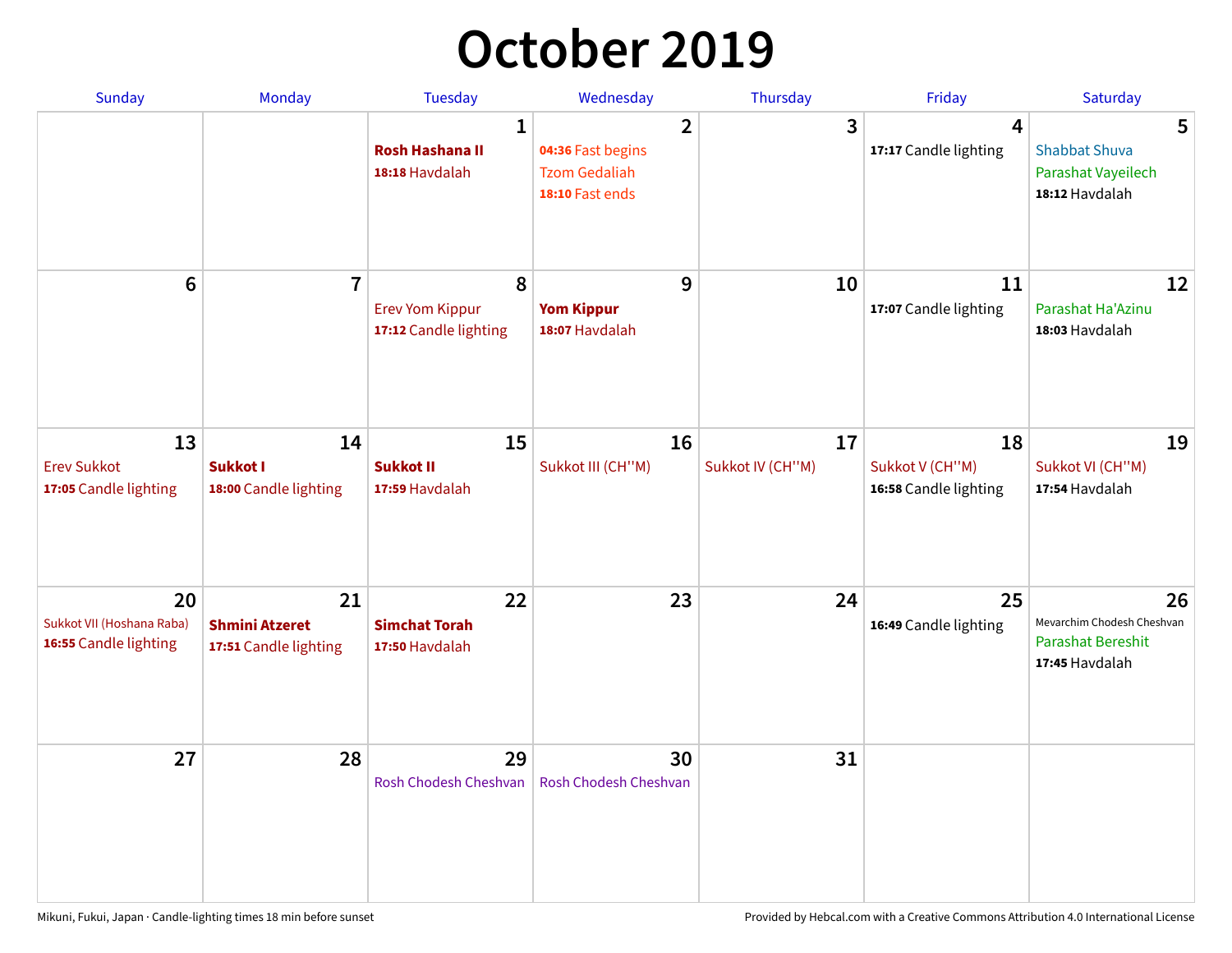## **October 2019**

| <b>Sunday</b>                                            | <b>Monday</b>                                        | <b>Tuesday</b>                                           | Wednesday                                                                      | Thursday               | Friday                                           | Saturday                                                                       |
|----------------------------------------------------------|------------------------------------------------------|----------------------------------------------------------|--------------------------------------------------------------------------------|------------------------|--------------------------------------------------|--------------------------------------------------------------------------------|
|                                                          |                                                      | $\mathbf{1}$<br><b>Rosh Hashana II</b><br>18:18 Havdalah | $\overline{2}$<br>04:36 Fast begins<br><b>Tzom Gedaliah</b><br>18:10 Fast ends | 3                      | $\overline{\mathbf{4}}$<br>17:17 Candle lighting | 5<br><b>Shabbat Shuva</b><br>Parashat Vayeilech<br>18:12 Havdalah              |
| $6\phantom{1}$                                           | $\overline{7}$                                       | 8<br><b>Erev Yom Kippur</b><br>17:12 Candle lighting     | 9<br><b>Yom Kippur</b><br>18:07 Havdalah                                       | 10                     | 11<br>17:07 Candle lighting                      | 12<br>Parashat Ha'Azinu<br>18:03 Havdalah                                      |
| 13<br><b>Erev Sukkot</b><br>17:05 Candle lighting        | 14<br>Sukkot I<br>18:00 Candle lighting              | 15<br><b>Sukkot II</b><br>17:59 Havdalah                 | 16<br>Sukkot III (CH"M)                                                        | 17<br>Sukkot IV (CH"M) | 18<br>Sukkot V (CH"M)<br>16:58 Candle lighting   | 19<br>Sukkot VI (CH"M)<br>17:54 Havdalah                                       |
| 20<br>Sukkot VII (Hoshana Raba)<br>16:55 Candle lighting | 21<br><b>Shmini Atzeret</b><br>17:51 Candle lighting | 22<br><b>Simchat Torah</b><br>17:50 Havdalah             | 23                                                                             | 24                     | 25<br>16:49 Candle lighting                      | 26<br>Mevarchim Chodesh Cheshvan<br><b>Parashat Bereshit</b><br>17:45 Havdalah |
| 27                                                       | 28                                                   | 29<br>Rosh Chodesh Cheshvan                              | 30<br>Rosh Chodesh Cheshvan                                                    | 31                     |                                                  |                                                                                |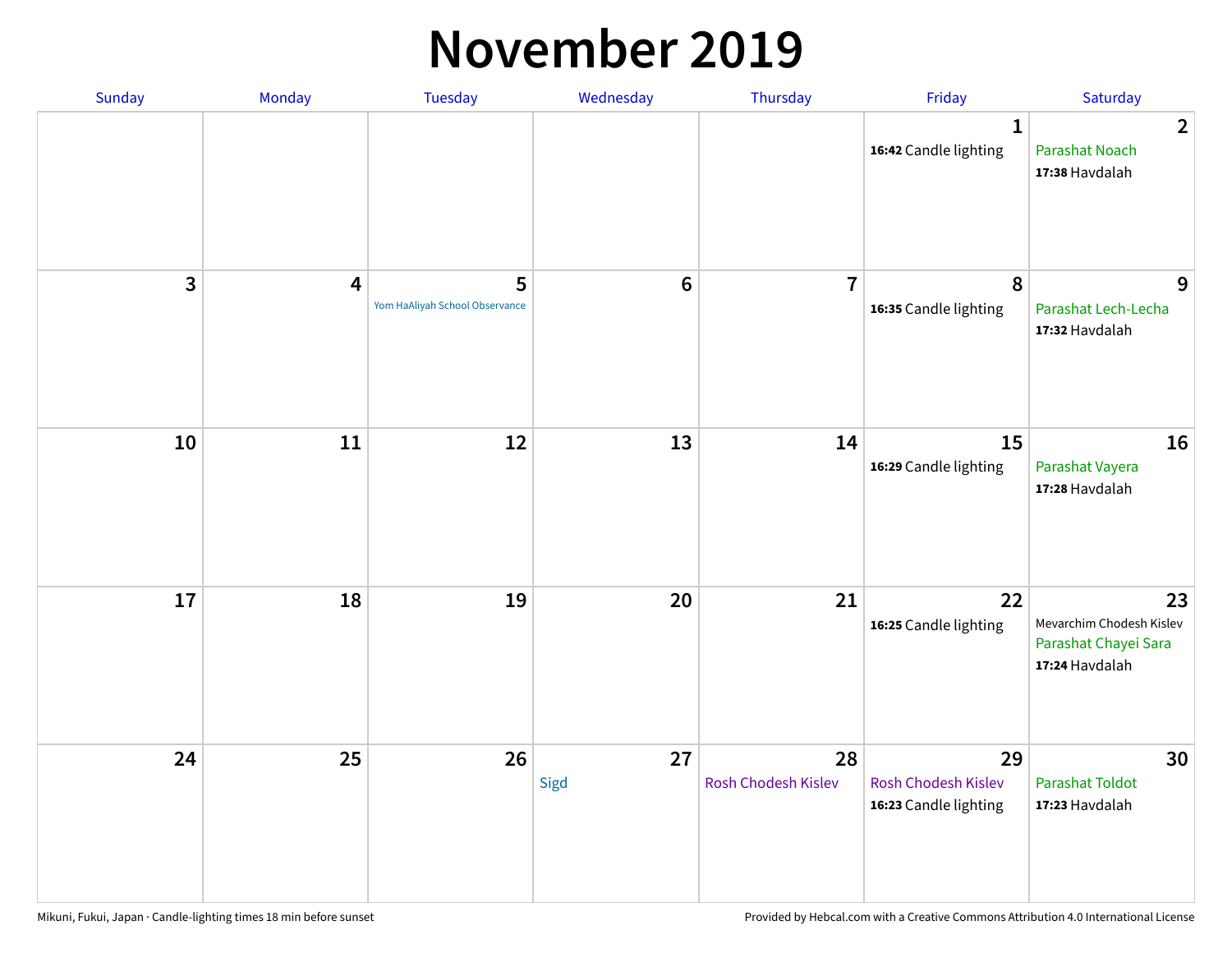#### **November 2019**

| Sunday | Monday                  | <b>Tuesday</b>                      | Wednesday      | Thursday                  | Friday                                                    | Saturday                                                                 |
|--------|-------------------------|-------------------------------------|----------------|---------------------------|-----------------------------------------------------------|--------------------------------------------------------------------------|
|        |                         |                                     |                |                           | $\mathbf{1}$<br>16:42 Candle lighting                     | $\overline{2}$<br><b>Parashat Noach</b><br>17:38 Havdalah                |
| 3      | $\overline{\mathbf{4}}$ | 5<br>Yom HaAliyah School Observance | $6\phantom{1}$ | $\overline{7}$            | 8<br>16:35 Candle lighting                                | 9<br>Parashat Lech-Lecha<br>17:32 Havdalah                               |
| 10     | 11                      | 12                                  | 13             | 14                        | 15<br>16:29 Candle lighting                               | 16<br>Parashat Vayera<br>17:28 Havdalah                                  |
| 17     | 18                      | 19                                  | 20             | 21                        | 22<br>16:25 Candle lighting                               | 23<br>Mevarchim Chodesh Kislev<br>Parashat Chayei Sara<br>17:24 Havdalah |
| 24     | 25                      | 26                                  | 27<br>Sigd     | 28<br>Rosh Chodesh Kislev | 29<br><b>Rosh Chodesh Kislev</b><br>16:23 Candle lighting | 30<br><b>Parashat Toldot</b><br>17:23 Havdalah                           |